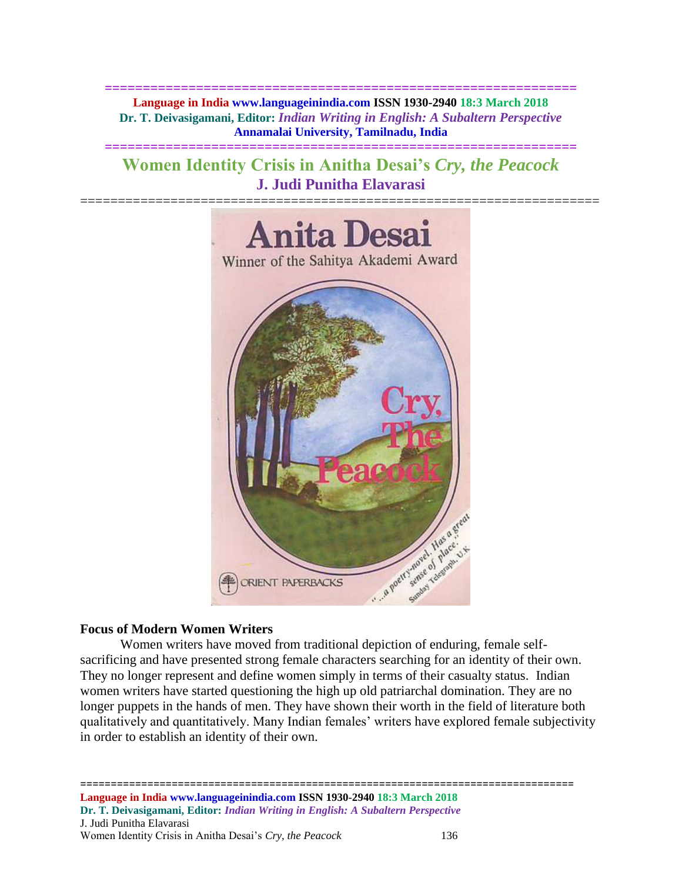**============================================================== Language in India www.languageinindia.com ISSN 1930-2940 18:3 March 2018 Dr. T. Deivasigamani, Editor:** *Indian Writing in English: A Subaltern Perspective* **Annamalai University, Tamilnadu, India**

# **Women Identity Crisis in Anitha Desai's** *Cry, the Peacock* **J. Judi Punitha Elavarasi**

**==============================================================**



# **Focus of Modern Women Writers**

Women writers have moved from traditional depiction of enduring, female selfsacrificing and have presented strong female characters searching for an identity of their own. They no longer represent and define women simply in terms of their casualty status. Indian women writers have started questioning the high up old patriarchal domination. They are no longer puppets in the hands of men. They have shown their worth in the field of literature both qualitatively and quantitatively. Many Indian females' writers have explored female subjectivity in order to establish an identity of their own.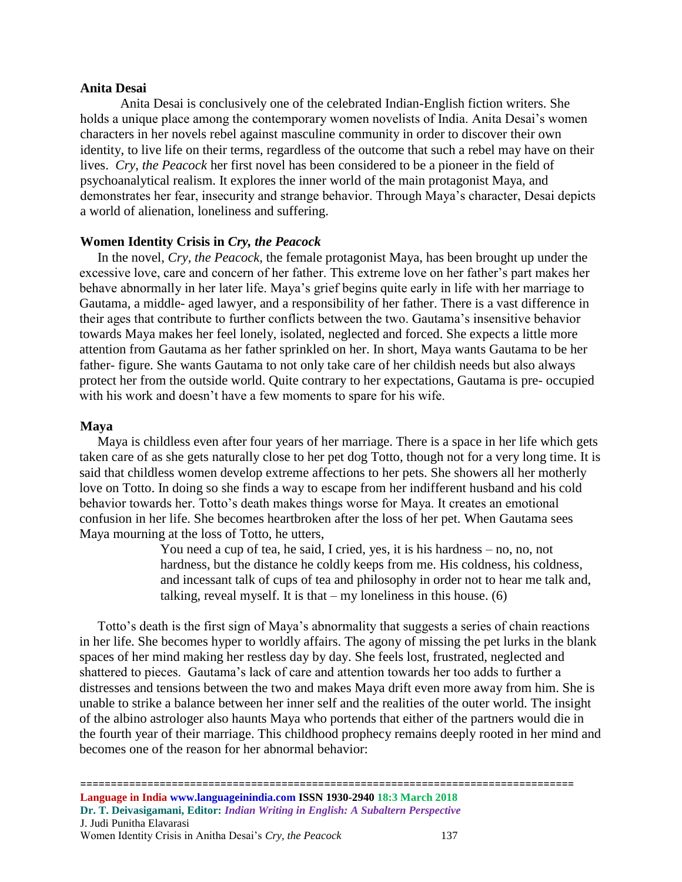## **Anita Desai**

Anita Desai is conclusively one of the celebrated Indian-English fiction writers. She holds a unique place among the contemporary women novelists of India. Anita Desai's women characters in her novels rebel against masculine community in order to discover their own identity, to live life on their terms, regardless of the outcome that such a rebel may have on their lives. *Cry*, *the Peacock* her first novel has been considered to be a pioneer in the field of psychoanalytical realism. It explores the inner world of the main protagonist Maya, and demonstrates her fear, insecurity and strange behavior. Through Maya's character, Desai depicts a world of alienation, loneliness and suffering.

## **Women Identity Crisis in** *Cry, the Peacock*

In the novel, *Cry, the Peacock,* the female protagonist Maya, has been brought up under the excessive love, care and concern of her father. This extreme love on her father's part makes her behave abnormally in her later life. Maya's grief begins quite early in life with her marriage to Gautama, a middle- aged lawyer, and a responsibility of her father. There is a vast difference in their ages that contribute to further conflicts between the two. Gautama's insensitive behavior towards Maya makes her feel lonely, isolated, neglected and forced. She expects a little more attention from Gautama as her father sprinkled on her. In short, Maya wants Gautama to be her father- figure. She wants Gautama to not only take care of her childish needs but also always protect her from the outside world. Quite contrary to her expectations, Gautama is pre- occupied with his work and doesn't have a few moments to spare for his wife.

## **Maya**

Maya is childless even after four years of her marriage. There is a space in her life which gets taken care of as she gets naturally close to her pet dog Totto, though not for a very long time. It is said that childless women develop extreme affections to her pets. She showers all her motherly love on Totto. In doing so she finds a way to escape from her indifferent husband and his cold behavior towards her. Totto's death makes things worse for Maya. It creates an emotional confusion in her life. She becomes heartbroken after the loss of her pet. When Gautama sees Maya mourning at the loss of Totto, he utters,

> You need a cup of tea, he said, I cried, yes, it is his hardness – no, no, not hardness, but the distance he coldly keeps from me. His coldness, his coldness, and incessant talk of cups of tea and philosophy in order not to hear me talk and, talking, reveal myself. It is that  $-$  my loneliness in this house.  $(6)$

Totto's death is the first sign of Maya's abnormality that suggests a series of chain reactions in her life. She becomes hyper to worldly affairs. The agony of missing the pet lurks in the blank spaces of her mind making her restless day by day. She feels lost, frustrated, neglected and shattered to pieces. Gautama's lack of care and attention towards her too adds to further a distresses and tensions between the two and makes Maya drift even more away from him. She is unable to strike a balance between her inner self and the realities of the outer world. The insight of the albino astrologer also haunts Maya who portends that either of the partners would die in the fourth year of their marriage. This childhood prophecy remains deeply rooted in her mind and becomes one of the reason for her abnormal behavior: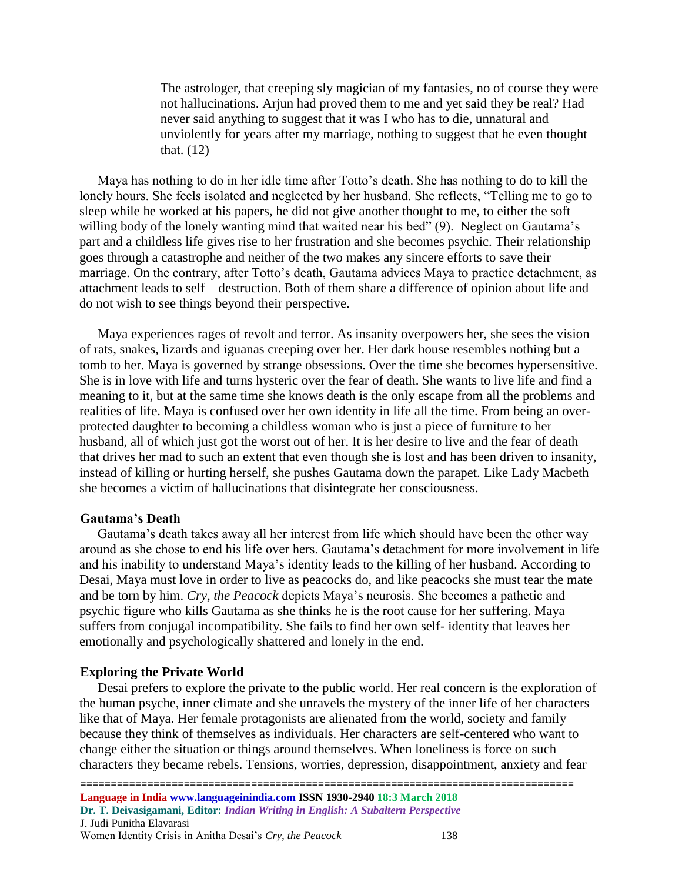The astrologer, that creeping sly magician of my fantasies, no of course they were not hallucinations. Arjun had proved them to me and yet said they be real? Had never said anything to suggest that it was I who has to die, unnatural and unviolently for years after my marriage, nothing to suggest that he even thought that. (12)

Maya has nothing to do in her idle time after Totto's death. She has nothing to do to kill the lonely hours. She feels isolated and neglected by her husband. She reflects, "Telling me to go to sleep while he worked at his papers, he did not give another thought to me, to either the soft willing body of the lonely wanting mind that waited near his bed" (9). Neglect on Gautama's part and a childless life gives rise to her frustration and she becomes psychic. Their relationship goes through a catastrophe and neither of the two makes any sincere efforts to save their marriage. On the contrary, after Totto's death, Gautama advices Maya to practice detachment, as attachment leads to self – destruction. Both of them share a difference of opinion about life and do not wish to see things beyond their perspective.

Maya experiences rages of revolt and terror. As insanity overpowers her, she sees the vision of rats, snakes, lizards and iguanas creeping over her. Her dark house resembles nothing but a tomb to her. Maya is governed by strange obsessions. Over the time she becomes hypersensitive. She is in love with life and turns hysteric over the fear of death. She wants to live life and find a meaning to it, but at the same time she knows death is the only escape from all the problems and realities of life. Maya is confused over her own identity in life all the time. From being an overprotected daughter to becoming a childless woman who is just a piece of furniture to her husband, all of which just got the worst out of her. It is her desire to live and the fear of death that drives her mad to such an extent that even though she is lost and has been driven to insanity, instead of killing or hurting herself, she pushes Gautama down the parapet. Like Lady Macbeth she becomes a victim of hallucinations that disintegrate her consciousness.

### **Gautama's Death**

Gautama's death takes away all her interest from life which should have been the other way around as she chose to end his life over hers. Gautama's detachment for more involvement in life and his inability to understand Maya's identity leads to the killing of her husband. According to Desai, Maya must love in order to live as peacocks do, and like peacocks she must tear the mate and be torn by him. *Cry, the Peacock* depicts Maya's neurosis. She becomes a pathetic and psychic figure who kills Gautama as she thinks he is the root cause for her suffering. Maya suffers from conjugal incompatibility. She fails to find her own self- identity that leaves her emotionally and psychologically shattered and lonely in the end.

### **Exploring the Private World**

Desai prefers to explore the private to the public world. Her real concern is the exploration of the human psyche, inner climate and she unravels the mystery of the inner life of her characters like that of Maya. Her female protagonists are alienated from the world, society and family because they think of themselves as individuals. Her characters are self-centered who want to change either the situation or things around themselves. When loneliness is force on such characters they became rebels. Tensions, worries, depression, disappointment, anxiety and fear